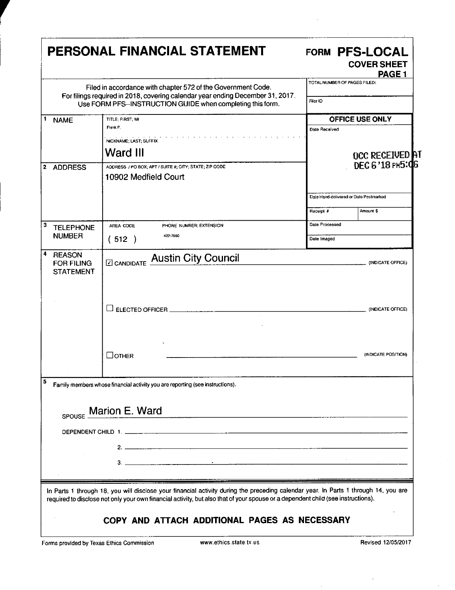| Filed in accordance with chapter 572 of the Government Code.<br>For filings required in 2018, covering calendar year ending December 31, 2017.<br>Use FORM PFS--INSTRUCTION GUIDE when completing this form.<br>TITLE: FIRST: MI<br><b>NAME</b><br>Frank P.<br>NICKNAME; LAST; SUFFIX<br>Ward III<br>ADDRESS / PO BOX; APT / SUITE #; CITY; STATE; ZIP CODE<br>10902 Medfield Court<br>AREA CODE<br>PHONE NUMBER, EXTENSION<br><b>TELEPHONE</b><br><b>NUMBER</b><br>422-7960<br>(512)<br><b>REASON</b><br><b>ZI CANDIDATE AUStin City Council</b><br><b>FOR FILING</b><br><b>STATEMENT</b><br>$\Box$ other | TOTAL NUMBER OF PAGES FILED:<br>Filer ID<br>Date Received<br>Receipt #<br>Dale Processed<br>Date Imaged | <b>OFFICE USE ONLY</b><br><b>OCC RECEIVED AT</b><br>DEC 6'18 PM5:06<br>Date Hand-delivered or Date Postmarked<br>Amount \$ |
|------------------------------------------------------------------------------------------------------------------------------------------------------------------------------------------------------------------------------------------------------------------------------------------------------------------------------------------------------------------------------------------------------------------------------------------------------------------------------------------------------------------------------------------------------------------------------------------------------------|---------------------------------------------------------------------------------------------------------|----------------------------------------------------------------------------------------------------------------------------|
|                                                                                                                                                                                                                                                                                                                                                                                                                                                                                                                                                                                                            |                                                                                                         |                                                                                                                            |
| <b>ADDRESS</b>                                                                                                                                                                                                                                                                                                                                                                                                                                                                                                                                                                                             |                                                                                                         |                                                                                                                            |
| $\mathbf{2}$<br>ъ<br>4                                                                                                                                                                                                                                                                                                                                                                                                                                                                                                                                                                                     |                                                                                                         |                                                                                                                            |
|                                                                                                                                                                                                                                                                                                                                                                                                                                                                                                                                                                                                            |                                                                                                         |                                                                                                                            |
|                                                                                                                                                                                                                                                                                                                                                                                                                                                                                                                                                                                                            |                                                                                                         |                                                                                                                            |
|                                                                                                                                                                                                                                                                                                                                                                                                                                                                                                                                                                                                            |                                                                                                         |                                                                                                                            |
|                                                                                                                                                                                                                                                                                                                                                                                                                                                                                                                                                                                                            |                                                                                                         |                                                                                                                            |
|                                                                                                                                                                                                                                                                                                                                                                                                                                                                                                                                                                                                            |                                                                                                         |                                                                                                                            |
|                                                                                                                                                                                                                                                                                                                                                                                                                                                                                                                                                                                                            |                                                                                                         |                                                                                                                            |
|                                                                                                                                                                                                                                                                                                                                                                                                                                                                                                                                                                                                            |                                                                                                         | (INDICATE OFFICE)                                                                                                          |
|                                                                                                                                                                                                                                                                                                                                                                                                                                                                                                                                                                                                            |                                                                                                         | (INDICATE OFFICE)                                                                                                          |
|                                                                                                                                                                                                                                                                                                                                                                                                                                                                                                                                                                                                            |                                                                                                         | (INDICATE POSITION)                                                                                                        |
| Family members whose financial activity you are reporting (see instructions).                                                                                                                                                                                                                                                                                                                                                                                                                                                                                                                              |                                                                                                         |                                                                                                                            |
| Marion E. Ward<br><u> 1980 - Johann Barbara, martxa alemaniar amerikan basal dan basal dan basal dan basal dan basal dan basal dan</u><br>SPOUSE                                                                                                                                                                                                                                                                                                                                                                                                                                                           |                                                                                                         |                                                                                                                            |
|                                                                                                                                                                                                                                                                                                                                                                                                                                                                                                                                                                                                            |                                                                                                         |                                                                                                                            |
|                                                                                                                                                                                                                                                                                                                                                                                                                                                                                                                                                                                                            |                                                                                                         |                                                                                                                            |
|                                                                                                                                                                                                                                                                                                                                                                                                                                                                                                                                                                                                            |                                                                                                         |                                                                                                                            |
|                                                                                                                                                                                                                                                                                                                                                                                                                                                                                                                                                                                                            |                                                                                                         |                                                                                                                            |
| In Parts 1 through 18, you will disclose your financial activity during the preceding calendar year. In Parts 1 through 14, you are<br>required to disclose not only your own financial activity, but also that of your spouse or a dependent child (see instructions).<br>COPY AND ATTACH ADDITIONAL PAGES AS NECESSARY                                                                                                                                                                                                                                                                                   |                                                                                                         |                                                                                                                            |

 $\ddot{\phantom{a}}$ 

Forms provided by Texas Ethics Commission www.ethics.state.tx.us Revised 12/05/2017

 $\ddot{\phantom{a}}$ 

 $\overline{\phantom{a}}$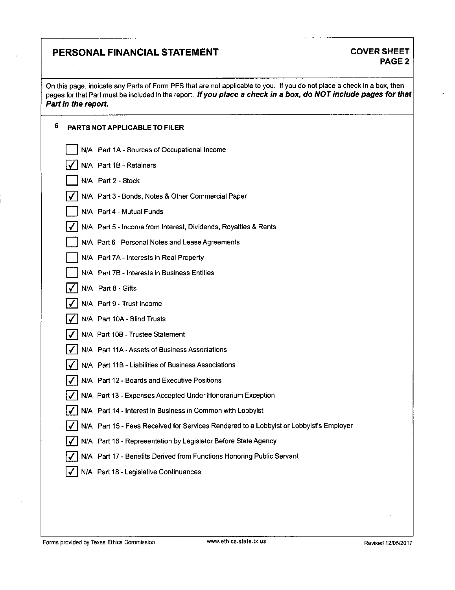# **PERSONAL FINANCIAL STATEMENT COVER SHEET**

**On this page, indicate any Parts of Form PFS that are not applicable to you. If you do not place a check in a box, then**  pages for that Part must be included in the report. If you place a check in a box, do NOT include pages for that **Part in the report.** 

### **6 PARTS NOT APPLICABLE TO FILER**

| N/A Part 1A - Sources of Occupational Income                                           |
|----------------------------------------------------------------------------------------|
| N/A Part 1B - Retainers                                                                |
| N/A Part 2 - Stock                                                                     |
| N/A Part 3 - Bonds, Notes & Other Commercial Paper                                     |
| N/A Part 4 - Mutual Funds                                                              |
| N/A Part 5 - Income from Interest, Dividends, Royalties & Rents                        |
| N/A Part 6 - Personal Notes and Lease Agreements                                       |
| N/A Part 7A - Interests in Real Property                                               |
| N/A Part 7B - Interests in Business Entities                                           |
| N/A Part 8 - Gifts                                                                     |
| N/A Part 9 - Trust Income                                                              |
| N/A Part 10A - Blind Trusts                                                            |
| N/A Part 10B - Trustee Statement                                                       |
| N/A Part 11A - Assets of Business Associations                                         |
| N/A Part 11B - Liabilities of Business Associations                                    |
| N/A Part 12 - Boards and Executive Positions                                           |
| N/A Part 13 - Expenses Accepted Under Honorarium Exception                             |
| N/A Part 14 - Interest in Business in Common with Lobbyist                             |
| N/A Part 15 - Fees Received for Services Rendered to a Lobbyist or Lobbyist's Employer |
| N/A Part 16 - Representation by Legislator Before State Agency                         |
| N/A Part 17 - Benefits Derived from Functions Honoring Public Servant                  |
| N/A Part 18 - Legislative Continuances                                                 |

Forms provided by Texas Ethics Commission www.ethics.state.tx.us Revised 12/05/2017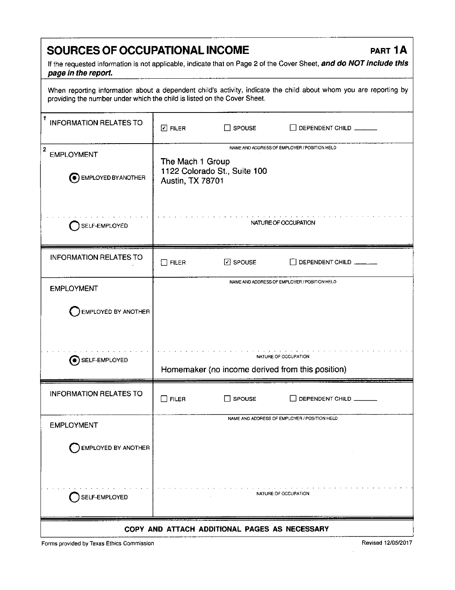# SOURCES OF OCCUPATIONAL INCOME **PART 1A**

If the requested information is not applicable, indicate that on Page 2 of the Cover Sheet, and do NOT include this page in the report.

When reporting information about a dependent child's activity, indicate the child about whom you are reporting by providing the number under which the child is listed on the Cover Sheet.

| 1<br><b>INFORMATION RELATES TO</b>                                | $\Box$ FILER                                                                                                         | $\Box$ SPOUSE                                 | DEPENDENT CHILD                                                          |
|-------------------------------------------------------------------|----------------------------------------------------------------------------------------------------------------------|-----------------------------------------------|--------------------------------------------------------------------------|
| $\mathbf{2}$<br><b>EMPLOYMENT</b><br><b>O</b> EMPLOYED BY ANOTHER | NAME AND ADDRESS OF EMPLOYER / POSITION HELD<br>The Mach 1 Group<br>1122 Colorado St., Suite 100<br>Austin, TX 78701 |                                               |                                                                          |
| SELF-EMPLOYED                                                     |                                                                                                                      |                                               | NATURE OF OCCUPATION                                                     |
| <b>INFORMATION RELATES TO</b>                                     | $\Box$ FILER                                                                                                         | <b>⊡</b> SPOUSE                               | DEPENDENT CHILD                                                          |
| <b>EMPLOYMENT</b>                                                 |                                                                                                                      |                                               | NAME AND ADDRESS OF EMPLOYER / POSITION HELD                             |
| EMPLOYED BY ANOTHER                                               |                                                                                                                      |                                               |                                                                          |
| $\odot$ SELF-EMPLOYED                                             |                                                                                                                      |                                               | NATURE OF OCCUPATION<br>Homemaker (no income derived from this position) |
| <b>INFORMATION RELATES TO</b>                                     | $\square$ filer                                                                                                      | $\Box$ SPOUSE                                 | DEPENDENT CHILD                                                          |
| <b>EMPLOYMENT</b>                                                 |                                                                                                                      |                                               | NAME AND ADDRESS OF EMPLOYER / POSITION HELD                             |
| <b>EMPLOYED BY ANOTHER</b>                                        |                                                                                                                      |                                               |                                                                          |
| SELF-EMPLOYED                                                     |                                                                                                                      |                                               | NATURE OF OCCUPATION                                                     |
|                                                                   |                                                                                                                      | COPY AND ATTACH ADDITIONAL PAGES AS NECESSARY |                                                                          |

Forms provided by Texas Ethics Commission **Revised 12/05/2017** Revised 12/05/2017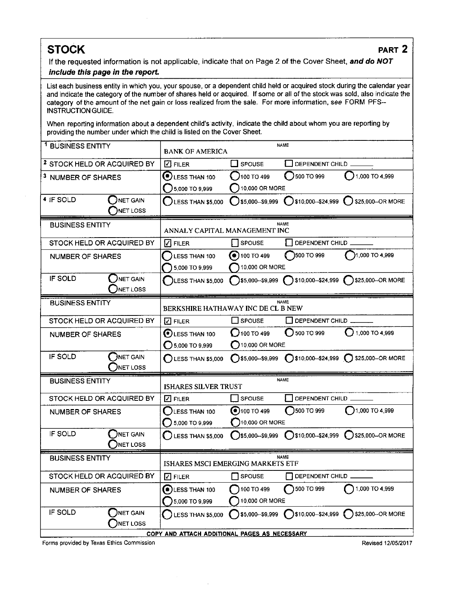If the requested information is not applicable, indicate that on Page 2 of the Cover Sheet, and do NOT include this page in the report.

List each business entity in which you, your spouse, or a dependent child held or acquired stock during the calendar year and indicate the category of the number of shares held or acquired. If some or all of the stock was sold, also indicate the category of the amount of the net gain or loss realized from the sale. For more information, see FORM PFS-INSTRUCTION GUIDE.

When reporting information about a dependent child's activity, indicate the child about whom you are reporting by providing the number under which the child is listed on the Cover Sheet.

| <sup>1</sup> BUSINESS ENTITY           |                                               | <b>BANK OF AMERICA</b>                            |                                                              | <b>NAME</b>           |                                                            |
|----------------------------------------|-----------------------------------------------|---------------------------------------------------|--------------------------------------------------------------|-----------------------|------------------------------------------------------------|
| <sup>2</sup> STOCK HELD OR ACQUIRED BY |                                               | $\Box$ FILER                                      | $\Box$ SPOUSE                                                | DEPENDENT CHILD       |                                                            |
| <sup>3</sup> NUMBER OF SHARES          |                                               | ⊙<br>LESS THAN 100                                | <b>J100 TO 499</b>                                           | 500 TO 999            | 1,000 TO 4,999                                             |
|                                        |                                               | 5,000 TO 9,999                                    | 10,000 OR MORE                                               |                       |                                                            |
| 4 IF SOLD                              | NET GAIN<br>NET LOSS                          | LESS THAN \$5,000                                 | \$5,000--\$9,999                                             |                       | $\bigcirc$ \$10,000--\$24,999 $\bigcirc$ \$25,000--OR MORE |
| <b>BUSINESS ENTITY</b>                 |                                               |                                                   |                                                              | NAME                  |                                                            |
|                                        |                                               | ANNALY CAPITAL MANAGEMENT INC                     |                                                              |                       |                                                            |
| STOCK HELD OR ACQUIRED BY              |                                               | $ V $ filer                                       | <b>SPOUSE</b>                                                | DEPENDENT CHILD       |                                                            |
| <b>NUMBER OF SHARES</b>                |                                               | LESS THAN 100                                     | $\bullet$ 100 TO 499                                         | )500 TO 999           | 1,000 TO 4,999                                             |
|                                        |                                               | 5,000 TO 9,999                                    | 10,000 OR MORE                                               |                       |                                                            |
| IF SOLD                                | NET GAIN<br>NET LOSS                          | LESS THAN \$5,000                                 |                                                              |                       |                                                            |
| <b>BUSINESS ENTITY</b>                 |                                               | <b>NAME</b><br>BERKSHIRE HATHAWAY INC DE CL B NEW |                                                              |                       |                                                            |
|                                        |                                               |                                                   |                                                              |                       |                                                            |
| STOCK HELD OR ACQUIRED BY              |                                               | $\nabla$ FILER                                    | $\Box$ SPOUSE                                                | DEPENDENT CHILD       |                                                            |
| <b>NUMBER OF SHARES</b>                |                                               | <b>D</b> LESS THAN 100                            | <b>( )</b> 100 ТО 499                                        | $\bigcirc$ 500 TO 999 | 1,000 TO 4,999                                             |
|                                        |                                               | 5,000 TO 9,999<br>()                              | $\left( \begin{array}{c} \end{array} \right)$ 10,000 OR MORE |                       |                                                            |
| IF SOLD                                | NET GAIN<br>NET LOSS                          | $\bigcirc$ LESS THAN \$5,000                      | $\bigcap$ \$5,000--\$9,999                                   |                       | \$10,000-\$24,999 325,000-OR MORE                          |
| <b>BUSINESS ENTITY</b>                 |                                               | <b>ISHARES SILVER TRUST</b>                       |                                                              | <b>NAME</b>           |                                                            |
| STOCK HELD OR ACQUIRED BY              |                                               | $\Box$ FILER                                      | <b>SPOUSE</b>                                                | DEPENDENT CHILD       |                                                            |
| <b>NUMBER OF SHARES</b>                |                                               | LESS THAN 100                                     | $\odot$ 100 TO 499                                           | 3500 TO 999           | 1,000 TO 4,999                                             |
|                                        |                                               | 5,000 TO 9,999                                    | $\bigcap$ 10,000 OR MORE                                     |                       |                                                            |
| IF SOLD                                | DNET GAIN<br><b>NET LOSS</b>                  | LESS THAN \$5,000                                 | 35,000--\$9,999                                              |                       | S10,000--\$24,999 325,000--OR MORE                         |
| <b>BUSINESS ENTITY</b>                 |                                               | NAME<br><b>ISHARES MSCI EMERGING MARKETS ETF</b>  |                                                              |                       |                                                            |
| STOCK HELD OR ACQUIRED BY              |                                               | $\boxtimes$ Filer                                 | <b>SPOUSE</b>                                                | DEPENDENT CHILD       |                                                            |
| <b>NUMBER OF SHARES</b>                |                                               | <b>O</b> LESS THAN 100<br>5,000 TO 9,999          | 100 TO 499<br>10,000 OR MORE                                 | 500 TO 999            | 1,000 TO 4,999                                             |
| IF SOLD                                | DNET GAIN<br>NET LOSS                         | <b>LESS THAN \$5,000</b>                          | $\bigcap$ \$5,000--\$9,999                                   |                       | S10,000--\$24,999 325,000--OR MORE                         |
|                                        | COPY AND ATTACH ADDITIONAL PAGES AS NECESSARY |                                                   |                                                              |                       |                                                            |

Forms provided by Texas Ethics Commission **Revised 12/05/2017 Revised 12/05/2017**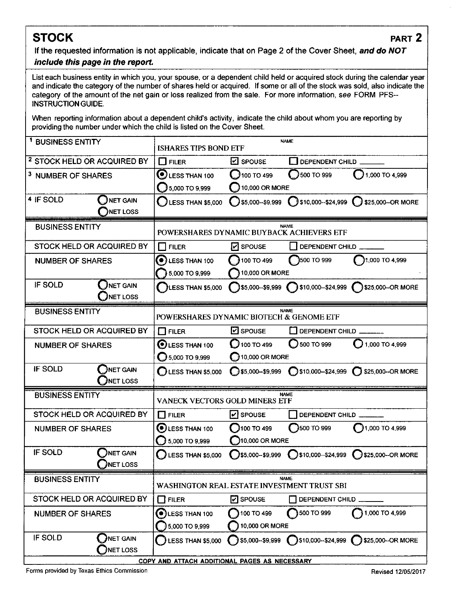**If tine requested information is not applicable, indicate that on Page 2 of the Cover Sheet, and do NOT** 

### **include this page in the report.**

List each business entity in which you, your spouse, or a dependent child held or acquired stock during the calendar year and indicate the category of the number of shares held or acquired. If some or all of the stock was sold, also indicate the category of the amount of the net gain or loss realized from the sale. For more information, see FORM PFS-INSTRUCTION GUIDE.

When reporting information about a dependent child's activity, indicate the child about whom you are reporting by providing the number under which the child is listed on the Cover Sheet.

| <sup>1</sup> BUSINESS ENTITY           |                              | <b>NAME</b><br><b>ISHARES TIPS BOND ETF</b>   |                                 |                           |                                                   |
|----------------------------------------|------------------------------|-----------------------------------------------|---------------------------------|---------------------------|---------------------------------------------------|
| <sup>2</sup> STOCK HELD OR ACQUIRED BY |                              | $\square$ FILER                               | $\mathbf{Z}$ spouse             | DEPENDENT CHILD           |                                                   |
| <sup>3</sup> NUMBER OF SHARES          |                              | $\mathbf{\mathcal{O}}$ LESS THAN 100          | $J$ 100 TO 499                  | 3500 TO 999               | 1,000 TO 4,999                                    |
|                                        |                              | 5,000 TO 9,999                                | 10,000 OR MORE                  |                           |                                                   |
| 4 IF SOLD                              | <b>NET GAIN</b>              | <b>LESS THAN \$5,000</b>                      | \$5,000 - \$9,999               | $999$ \$10,000 - \$24,999 | \$25,000--OR MORE                                 |
|                                        | <b>NET LOSS</b>              |                                               |                                 |                           |                                                   |
| <b>BUSINESS ENTITY</b>                 |                              | POWERSHARES DYNAMIC BUYBACK ACHIEVERS ETF     |                                 | <b>NAME</b>               |                                                   |
| STOCK HELD OR ACQUIRED BY              |                              | <b>FILER</b><br>l 1                           | $\vert \mathbf{v} \vert$ SPOUSE | DEPENDENT CHILD           |                                                   |
| <b>NUMBER OF SHARES</b>                |                              | $\left( \bullet \right)$ LESS THAN 100        | 100 TO 499                      | 3500 TO 999               | 1,000 TO 4,999                                    |
|                                        |                              | 5,000 TO 9,999                                | 10,000 OR MORE                  |                           |                                                   |
| IF SOLD                                | NET GAIN<br>INET LOSS        | LESS THAN \$5,000                             |                                 |                           | 55,000-\$9,999 \$10,000-\$24,999 \$25,000-OR MORE |
| <b>BUSINESS ENTITY</b>                 |                              |                                               |                                 | <b>NAME</b>               |                                                   |
|                                        |                              | POWERSHARES DYNAMIC BIOTECH & GENOME ETF      |                                 |                           |                                                   |
| STOCK HELD OR ACQUIRED BY              |                              | $\Box$ FILER                                  | <b>Z</b> SPOUSE                 | DEPENDENT CHILD           |                                                   |
| <b>NUMBER OF SHARES</b>                |                              | $\odot$ LESS THAN 100                         | 100 TO 499                      | 500 TO 999                | 1,000 TO 4,999                                    |
|                                        |                              | $\bigcirc$ 5,000 TO 9,999                     | $\bigcirc$ 10,000 OR MORE       |                           |                                                   |
| IF SOLD                                | <b>ONET GAIN</b><br>NET LOSS | $\bigcirc$ LESS THAN \$5,000                  | $\bigcirc$ \$5,000-\$9,999      |                           | S10,000-\$24,999 325,000--OR MORE                 |
| <b>BUSINESS ENTITY</b>                 |                              | VANECK VECTORS GOLD MINERS ETF                |                                 | <b>NAME</b>               |                                                   |
| STOCK HELD OR ACQUIRED BY              |                              | $\square$ FILER                               | $\boxed{\triangleright}$ SPOUSE | DEPENDENT CHILD _______   |                                                   |
| <b>NUMBER OF SHARES</b>                |                              | <b>OLESS THAN 100</b>                         | 100 TO 499                      | 3500 TO 999               | $\bigcirc$ 1,000 TO 4,999                         |
|                                        |                              | 5,000 TO 9,999<br>Э                           | $10,000$ OR MORE                |                           |                                                   |
| <b>IF SOLD</b>                         | INET GAIN<br>NET LOSS        | $\bigcirc$ LESS THAN \$5,000                  | $\square$ \$5,000-\$9,999       |                           | S10,000-\$24,999 S25,000-OR MORE                  |
| <b>BUSINESS ENTITY</b>                 |                              | WASHINGTON REAL ESTATE INVESTMENT TRUST SBI   |                                 | <b>NAME</b>               |                                                   |
| STOCK HELD OR ACQUIRED BY              |                              | $\Box$ FILER                                  | <b>P</b> spouse                 | DEPENDENT CHILD           |                                                   |
| <b>NUMBER OF SHARES</b>                |                              | $\left( \bullet \right)$ LESS THAN 100        | 100 TO 499                      | 3500 TO 999               | 1,000 TO 4,999                                    |
|                                        |                              | 5,000 TO 9,999                                | 10,000 OR MORE                  |                           |                                                   |
| IF SOLD                                | NET GAIN<br>NET LOSS         | LESS THAN \$5,000                             | <b>35,000--\$9,999</b>          |                           | S10,000-\$24,999 325,000-OR MORE                  |
|                                        |                              | COPY AND ATTACH ADDITIONAL PAGES AS NECESSARY |                                 |                           |                                                   |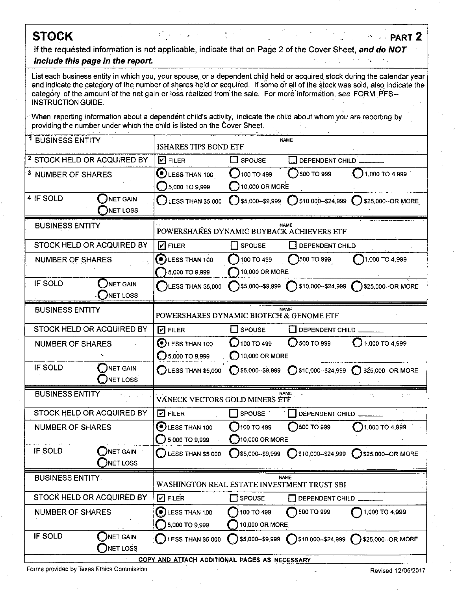# **STOCK PARt2**

**If the requested information is not applicable, indicate that on Page 2 of the Cover Sheet, and do NOT include this page in the report.** 

List each business entity in which you, your spouse, or a dependent child held or acquired stock during the calendar year and indicate the category of the number of shares held or acquired. If some or all of the stock was sold, also indicate the category of the amount of the net gain or loss realized from the sale. For more information, see FORM PFS--INSTRUCTION GUIDE.

When reporting information about a dependent child's activity, indicate the child about whom you are reporting by providing the number under which the child is listed on the Cover Sheet.

| <sup>1</sup> BUSINESS ENTITY           |                                               | <b>NAME</b><br><b>ISHARES TIPS BOND ETF</b> |                                       |                             |                                               |
|----------------------------------------|-----------------------------------------------|---------------------------------------------|---------------------------------------|-----------------------------|-----------------------------------------------|
| <sup>2</sup> STOCK HELD OR ACQUIRED BY |                                               | $\boxdot$ filer                             | $\square$ spouse                      | DEPENDENT CHILD             |                                               |
| <sup>3</sup> NUMBER OF SHARES          |                                               | $\odot$ LESS THAN 100                       | 100 TO 499                            | 500 TO 999                  | 1,000 TO 4,999                                |
|                                        |                                               | 5,000 TO 9,999                              | 10,000 OR MORE                        |                             |                                               |
| 4 IF SOLD                              | <b>NET GAIN</b>                               | LESS THAN \$5,000                           | $999.000 - 59,999$                    |                             | 510,000--\$24,999 (2) \$25,000--OR MORE       |
|                                        | <b>NET LOSS</b>                               |                                             |                                       |                             |                                               |
| <b>BUSINESS ENTITY</b>                 |                                               | POWERSHARES DYNAMIC BUYBACK ACHIEVERS ETF   |                                       | <b>NAME</b>                 |                                               |
| STOCK HELD OR ACQUIRED BY              |                                               | $\nabla$ Filer                              | <b>SPOUSE</b>                         | DEPENDENT CHILD             |                                               |
| <b>NUMBER OF SHARES</b>                | $2 - 2$                                       | 0)<br>LESS THAN 100                         | 100 TO 499                            | 999 OT 000                  | 1,000 TO 4,999                                |
|                                        |                                               | 5,000 TO 9,999                              | 10,000 OR MORE                        |                             |                                               |
| IF SOLD                                | NET GAIN<br><b>NET LOSS</b>                   | <b>LESS THAN \$5,000</b>                    | \$5,000--\$9,999                      |                             | \$10,000-\$24,999 325,000-OR MORE             |
| <b>BUSINESS ENTITY</b>                 |                                               | POWERSHARES DYNAMIC BIOTECH & GENOME ETF    |                                       | NAME                        |                                               |
| STOCK HELD OR ACQUIRED BY              |                                               |                                             |                                       |                             |                                               |
|                                        |                                               | $\boxed{2}$ FILER                           | L_I SPOUSE                            | DEPENDENT CHILD             |                                               |
| <b>NUMBER OF SHARES</b>                |                                               | $\odot$ LESS THAN 100<br>◯ 5,000 TO 9,999   | <b>J</b> 100 TO 499<br>10,000 OR MORE | 500 TO 999                  | 1,000 TO 4 999                                |
| IF SOLD                                | <b>NET GAIN</b>                               |                                             |                                       |                             |                                               |
|                                        | <b>NET LOSS</b>                               | LESS THAN \$5,000                           | $\bigcirc$ \$5,000--\$9,999           | $\bigcap$ \$10,000-\$24,999 | \$25,000 -- OR MORE<br>$\left( \quad \right)$ |
| <b>BUSINESS ENTITY</b>                 |                                               | VANECK VECTORS GOLD MINERS ETF              |                                       | <b>NAME</b>                 | pilot f                                       |
| STOCK HELD OR ACQUIRED BY              |                                               | $\Box$ FILER                                | SPOUSE                                | DEPENDENT CHILD             |                                               |
| <b>NUMBER OF SHARES</b>                |                                               | DLESS THAN 100                              | 100 TO 499                            | 500 TO 999                  | 1 000 TO 4,999                                |
|                                        |                                               | 5,000 TO 9,999                              | 10,000 OR MORE                        |                             |                                               |
| IF SOLD                                | NET GAIN<br>INET LOSS                         | LESS THAN \$5,000                           | \$5,000--\$9,999                      | 1\$10,000--\$24,999         | $\bigcirc$ \$25,000--OR MORE                  |
| <b>BUSINESS ENTITY</b>                 |                                               | WASHINGTON REAL ESTATE INVESTMENT TRUST SBI |                                       | NAME                        |                                               |
| STOCK HELD OR ACQUIRED BY              |                                               | <b>Z FILER</b>                              | SPOUSE                                | DEPENDENT CHILD             |                                               |
| NUMBER OF SHARES                       |                                               | О<br>LESS THAN 100                          | 100 TO 499                            | 500 TO 999                  | 1,000 TO 4,999                                |
|                                        |                                               | 5,000 TO 9,999                              | 10,000 OR MORE                        |                             |                                               |
| IF SOLD                                | NET GAIN<br>NET LOSS                          | LESS THAN \$5,000                           | \$5,000-\$9,999                       | $510,000 - $24,999$         | \$25,000-OR MORE                              |
|                                        | COPY AND ATTACH ADDITIONAL PAGES AS NECESSARY |                                             |                                       |                             |                                               |

Forms provided by Texas Ethics Commission **Revised 12/05/2017** Commission Revised 12/05/2017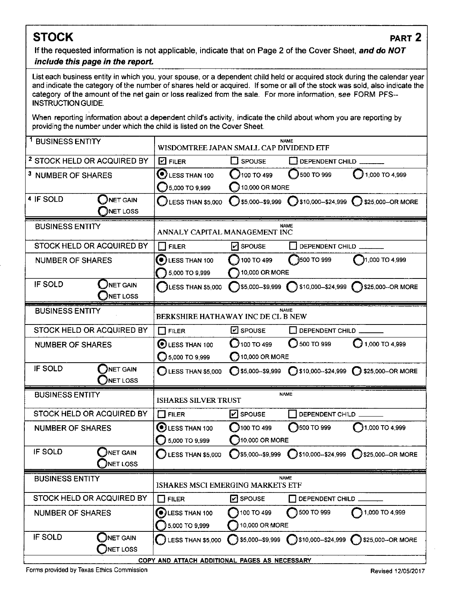**if the requested information is not applicable, indicate that on Page 2 of the Cover Sheet, and do NOT** 

### **include this page in the report.**

List each business entity in which you, your spouse, or a dependent child held or acquired stock during the calendar year and indicate the category of the number of shares held or acquired. If some or all of the stock was sold, also indicate the category of the amount of the net gain or loss realized from the sale. For more information, see FORM PFS-INSTRUCTION GUIDE.

When reporting information about a dependent child's activity, indicate the child about whom you are reporting by providing the number under which the child is listed on the Cover Sheet.

| <sup>1</sup> BUSINESS ENTITY           |                                               | WISDOMTREE JAPAN SMALL CAP DIVIDEND ETF |                             | <b>NAME</b>           |                                                          |  |
|----------------------------------------|-----------------------------------------------|-----------------------------------------|-----------------------------|-----------------------|----------------------------------------------------------|--|
| <sup>2</sup> STOCK HELD OR ACQUIRED BY |                                               | <b>D</b> FILER                          | <b>TI SPOUSE</b>            | DEPENDENT CHILD       |                                                          |  |
| <sup>3</sup> NUMBER OF SHARES          |                                               | $\mathbf{\mathbf{\odot}}$ less than 100 | 100 TO 499                  | 500 TO 999            | $\bigcup$ 1,000 TO 4,999                                 |  |
|                                        |                                               | 5,000 TO 9,999                          | 10,000 OR MORE              |                       |                                                          |  |
| 4 IF SOLD                              | $\Box$ NET GAIN                               | LESS THAN \$5,000                       | S5,000-\$9,999              |                       | $\bigcirc$ \$10,000-\$24,999 $\bigcirc$ \$25,000-OR MORE |  |
|                                        | INET LOSS                                     |                                         |                             |                       |                                                          |  |
| <b>BUSINESS ENTITY</b>                 |                                               | ANNALY CAPITAL MANAGEMENT INC           |                             | <b>NAME</b>           |                                                          |  |
| STOCK HELD OR ACQUIRED BY              |                                               | <b>FILER</b><br>$\mathcal{L}$           | $ v $ SPOUSE                | DEPENDENT CHILD       |                                                          |  |
| <b>NUMBER OF SHARES</b>                |                                               | O<br>LESS THAN 100                      | 100 TO 499                  | 3500 TO 999           | }1,000 TO 4,999                                          |  |
|                                        |                                               | 5,000 TO 9,999                          | 10,000 OR MORE              |                       |                                                          |  |
| IF SOLD                                | NET GAIN<br><b>NET LOSS</b>                   | LESS THAN \$5,000                       |                             |                       | S5,000--\$9,999 S10,000--\$24,999 S25,000--OR MORE       |  |
| <b>BUSINESS ENTITY</b>                 |                                               | BERKSHIRE HATHAWAY INC DE CL B NEW      |                             | NAME                  |                                                          |  |
|                                        |                                               |                                         |                             |                       |                                                          |  |
| STOCK HELD OR ACQUIRED BY              |                                               | <b>FILER</b><br>H                       | $\mathbb Z$ SPOUSE          | LI DEPENDENT CHILD    |                                                          |  |
| <b>NUMBER OF SHARES</b>                |                                               | $\odot$ LESS THAN 100                   | $100$ TO 499                | $\bigcirc$ 500 TO 999 | $1,000$ TO 4,999                                         |  |
| IF SOLD                                | NET GAIN                                      | $5,000$ TO 9,999                        | 10,000 OR MORE              |                       |                                                          |  |
|                                        | NET LOSS                                      | $\bigcirc$ LESS THAN \$5,000            | $\bigcirc$ \$5,000-\$9,999  | $Q$ \$10,000-\$24,999 | 325,000-OR MORE                                          |  |
| <b>BUSINESS ENTITY</b>                 |                                               | <b>ISHARES SILVER TRUST</b>             |                             | <b>NAME</b>           |                                                          |  |
| STOCK HELD OR ACQUIRED BY              |                                               | ΙI<br><b>FILER</b>                      | I <b>√I</b> SPOUSE          | DEPENDENT CHILD.      |                                                          |  |
| <b>NUMBER OF SHARES</b>                |                                               | <b>OLESS THAN 100</b>                   | 100 TO 499                  | 3500 TO 999           | $\bigcirc$ 1,000 TO 4,999                                |  |
|                                        |                                               | 5,000 TO 9,999                          | 10,000 OR MORE              |                       |                                                          |  |
| IF SOLD                                | <b>NET GAIN</b><br><b>NET LOSS</b>            | <b>LESS THAN \$5,000</b>                | $\bigcirc$ \$5,000--\$9,999 | S10,000--\$24,999     | $\bigcirc$ \$25,000-OR MORE                              |  |
| <b>BUSINESS ENTITY</b>                 |                                               |                                         |                             | <b>NAME</b>           |                                                          |  |
|                                        |                                               | ISHARES MSCI EMERGING MARKETS ETF       |                             |                       |                                                          |  |
| STOCK HELD OR ACQUIRED BY              |                                               | $\Box$ FILER                            | $\boxed{c}$ SPOUSE          | DEPENDENT CHILD       |                                                          |  |
| <b>NUMBER OF SHARES</b>                |                                               | LESS THAN 100<br>(C)                    | 100 TO 499                  | 500 TO 999            | 1,000 TO 4,999                                           |  |
|                                        |                                               | 5,000 TO 9,999                          | 10,000 OR MORE              |                       |                                                          |  |
| IF SOLD                                | <b>JNET GAIN</b><br>NET LOSS                  | <b>LESS THAN \$5,000</b>                | \$5,000--\$9,999            |                       | 510,000--\$24,999 325,000--OR MORE                       |  |
|                                        | COPY AND ATTACH ADDITIONAL PAGES AS NECESSARY |                                         |                             |                       |                                                          |  |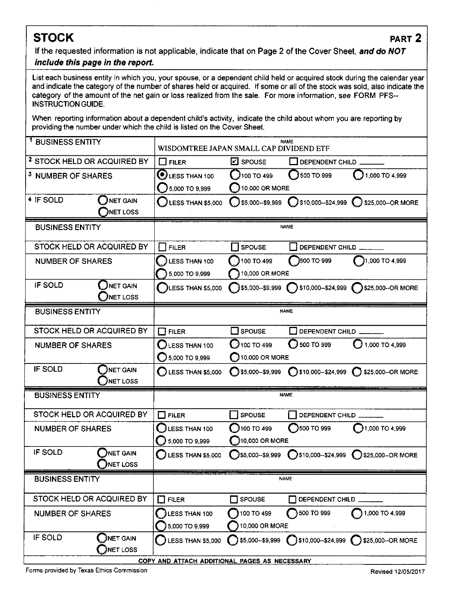**If the requested information is not applicable, indicate that on Page 2 of the Cover Sheet, and do NOT include this page in the report.** 

#### List each business entity in which you, your spouse, or a dependent child held or acquired stock during the calendar year and indicate the category of the number of shares held or acquired. If some or all of the stock was sold, also indicate the category of the amount of the net gain or loss realized from the sale. For more information, see FORM PFS~ INSTRUCTION GUIDE.

When reporting information about a dependent child's activity, indicate the child about whom you are reporting by providing the number under which the child is listed on the Cover Sheet.

| <sup>1</sup> BUSINESS ENTITY           |                              | WISDOMTREE JAPAN SMALL CAP DIVIDEND ETF       |                            | <b>NAME</b>                              |                                   |
|----------------------------------------|------------------------------|-----------------------------------------------|----------------------------|------------------------------------------|-----------------------------------|
| <sup>2</sup> STOCK HELD OR ACQUIRED BY |                              | $\Box$ FILER                                  | $E$ spouse                 | DEPENDENT CHILD                          |                                   |
| <sup>3</sup> NUMBER OF SHARES          |                              | LESS THAN 100                                 | 100 T0 499                 | 500 TO 999                               | <b>1,000 TO 4,999</b>             |
|                                        |                              | 5,000 TO 9,999                                | 10,000 OR MORE             |                                          |                                   |
| 4 IF SOLD                              | <b>NET GAIN</b>              | LESS THAN \$5,000                             | $5,000 - 59,999$           | $\bigcirc$ \$10,000--\$24,999 $\bigcirc$ | \$25,000 -- OR MORE               |
|                                        | <b>JNET LOSS</b>             |                                               |                            |                                          |                                   |
| <b>BUSINESS ENTITY</b>                 |                              |                                               |                            | <b>NAME</b>                              |                                   |
| STOCK HELD OR ACQUIRED BY              |                              | $\Box$ FILER                                  | <b>SPOUSE</b>              | DEPENDENT CHILD                          |                                   |
| <b>NUMBER OF SHARES</b>                |                              | LESS THAN 100                                 | 100 TO 499                 | 3500 TO 999                              | 1,000 TO 4,999                    |
|                                        |                              | 5,000 TO 9,999                                | 10,000 OR MORE             |                                          |                                   |
| <b>IF SOLD</b>                         | $\sum$ NET GAIN<br>NET LOSS  | LESS THAN \$5,000                             | \$5,000--\$9,999           |                                          | \$10,000-\$24,999 325,000-OR MORE |
| <b>BUSINESS ENTITY</b>                 |                              |                                               |                            | <b>NAME</b>                              |                                   |
|                                        |                              |                                               |                            |                                          |                                   |
| STOCK HELD OR ACQUIRED BY              |                              | <b>FILER</b><br>ΠŦ                            | $\Box$ SPOUSE              | DEPENDENT CHILD _______                  |                                   |
| <b>NUMBER OF SHARES</b>                |                              | LESS THAN 100                                 | 100T0499                   | 500 TO 999                               | $1,000$ TO 4.999                  |
|                                        |                              | 5,000 TO 9,999                                | 10,000 OR MORE             |                                          |                                   |
| IF SOLD                                | <b>JNET GAIN</b><br>NET LOSS | LESS THAN \$5,000                             | $\bigcirc$ \$5,000-\$9,999 |                                          | 525,000--0R MORE                  |
| <b>BUSINESS ENTITY</b>                 |                              |                                               |                            | <b>NAME</b>                              |                                   |
| STOCK HELD OR ACQUIRED BY              |                              | $\Box$ FILER                                  | <b>SPOUSE</b>              | DEPENDENT CHILD                          |                                   |
| <b>NUMBER OF SHARES</b>                |                              | LESS THAN 100                                 | 100 TO 499                 | 3500 TO 999                              | 1,000 TO 4,999                    |
|                                        |                              | 5,000 TO 9,999                                | $\bigcirc$ 10,000 OR MORE  |                                          |                                   |
| <b>IF SOLD</b>                         | NET GAIN<br><b>JNET LOSS</b> | LESS THAN \$5,000                             | 35,000--\$9,999            | <b>3510,000--\$24,999</b>                | 525,000 -- OR MORE                |
| <b>BUSINESS ENTITY</b>                 |                              |                                               |                            | <b>NAME</b>                              |                                   |
| STOCK HELD OR ACQUIRED BY              |                              | $\Box$ FILER                                  | SPOUSE<br>- 1              | DEPENDENT CHILD                          |                                   |
| <b>NUMBER OF SHARES</b>                |                              | <b>LESS THAN 100</b>                          | 100 TO 499                 | 500 TO 999                               | 1,000 TO 4,999                    |
|                                        |                              | 5,000 TO 9,999                                | 10,000 OR MORE             |                                          |                                   |
| IF SOLD                                | NET GAIN<br>NET LOSS         | LESS THAN \$5,000                             | \$5,000--\$9,999           |                                          | S10,000-\$24,999 325,000-OR MORE  |
|                                        |                              | COPY AND ATTACH ADDITIONAL PAGES AS NECESSARY |                            |                                          |                                   |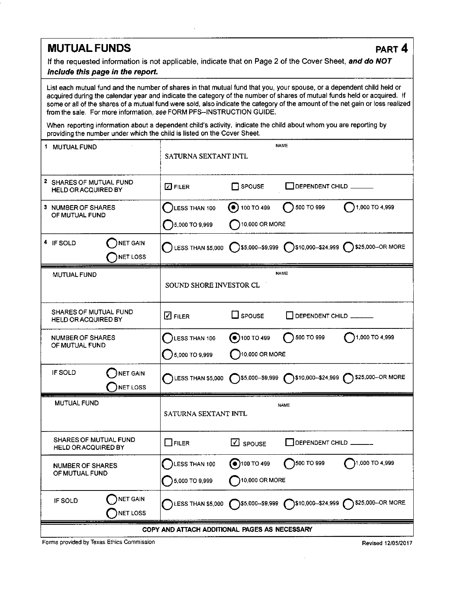# **MUTUAL FUNDS** PART 4

If the requested information is not applicable, indicate that on Page 2 of the Cover Sheet, and do NOT include this page in the report.

List each mutual fund and the number of shares in that mutual fund that you, your spouse, or a dependent child held or acquired during the calendar year and indicate the category of the number of shares of mutual funds held or acquired. If some or all of the shares of a mutual fund were sold, also indicate the category of the amount of the net gain or loss realized from the sale. For more information, see FORM PFS-INSTRUCTION GUIDE.

When reporting information about a dependent child's activity, indicate the child about whom you are reporting by providing the number under which the child is listed on the Cover Sheet.

| 1 MUTUAL FUND                                              | SATURNA SEXTANT INTL            |                                      | <b>NAME</b>            |                                                                                                       |
|------------------------------------------------------------|---------------------------------|--------------------------------------|------------------------|-------------------------------------------------------------------------------------------------------|
| 2 SHARES OF MUTUAL FUND<br><b>HELD OR ACQUIRED BY</b>      | $\square$ FILER                 | $\Box$ SPOUSE                        | DEPENDENT CHILD ______ |                                                                                                       |
| <b>3 NUMBER OF SHARES</b><br>OF MUTUAL FUND                | LESS THAN 100<br>5,000 TO 9,999 | $\odot$ 100 TO 499<br>10,000 OR MORE | 500 TO 999             | 1,000 TO 4,999                                                                                        |
| NET GAIN<br>4 IF SOLD<br><b>NET LOSS</b>                   | $\bigcap$ LESS THAN \$5,000     |                                      |                        | S5,000-\$9,999 S10,000-\$24,999 S25,000-OR MORE                                                       |
| <b>MUTUAL FUND</b>                                         | SOUND SHORE INVESTOR CL         |                                      | <b>NAME</b>            |                                                                                                       |
| SHARES OF MUTUAL FUND<br><b>HELD OR ACQUIRED BY</b>        | $\boxtimes$ Filer               | $\Box$ spouse                        | DEPENDENT CHILD        |                                                                                                       |
| NUMBER OF SHARES<br>OF MUTUAL FUND                         | LESS THAN 100<br>5,000 TO 9,999 | $\odot$ 100 TO 499<br>10,000 OR MORE | 500 TO 999             | 1,000 TO 4,999                                                                                        |
| IF SOLD<br><b>NET GAIN</b><br><b>NET LOSS</b>              |                                 |                                      |                        | LESS THAN \$5,000 (S5,000-\$9,999 (S10,000-\$24,999 (S25,000-OR MORE                                  |
| MUTUAL FUND                                                | SATURNA SEXTANT INTL            |                                      | <b>NAME</b>            |                                                                                                       |
| <b>SHARES OF MUTUAL FUND</b><br><b>HELD OR ACQUIRED BY</b> | $\Box$ Filer                    | $\overline{\mathbf{C}}$ spouse       | DEPENDENT CHILD        |                                                                                                       |
| <b>NUMBER OF SHARES</b><br>OF MUTUAL FUND                  | LESS THAN 100<br>5,000 TO 9,999 | $\odot$ 100 TO 499<br>10,000 OR MORE | 500 TO 999             | 1,000 TO 4,999                                                                                        |
| <b>NET GAIN</b><br>IF SOLD<br><b>NET LOSS</b>              |                                 |                                      |                        | LESS THAN \$5,000 $\bigcirc$ \$5,000-\$9,999 $\bigcirc$ \$10,000-\$24,999 $\bigcirc$ \$25,000-OR MORE |
| COPY AND ATTACH ADDITIONAL PAGES AS NECESSARY              |                                 |                                      |                        |                                                                                                       |

Forms provided by Texas Ethics Commission Revised 12/05/2017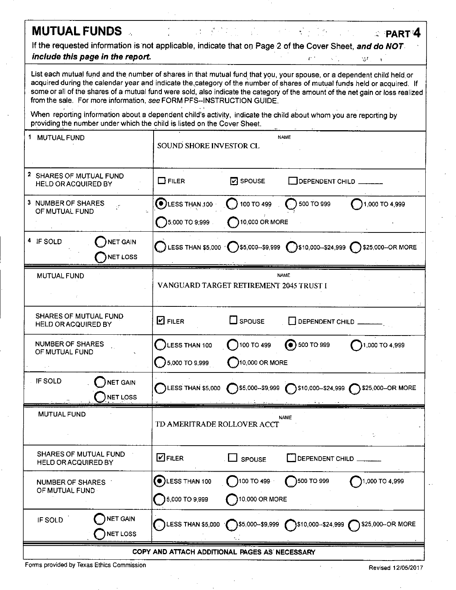# **MUTUAL FUNDS Example 2018 PART<sup>4</sup>**

If the requested information is not applicable, indicate that on Page 2 of the Cover Sheet, and do NOT. include this page in the report. The include  $r$  -i-r  $r$ -r  $r$ -r  $r$  -i-r  $r$ -r  $r$ -r  $r$ 

List each mutual fund and the number of shares in that mutual fund that you, your spouse, or a dependent child held.or acquired during the calendar year and indicate the category of the number of shares of mutual funds held or acquired. If some or all of the shares of a mutual fund were sold, also indicate the category of the amount of the net gain or loss realized from the sale. For more information, see FORM PFS~INSTRUCTION GUIDE.

When reporting information about a dependent child's activity, indicate the child about whom you are reporting by providing the number under which the child is listed on the Cover Sheet.

| 1 MUTUAL FUND                                              | SOUND SHORE INVESTOR CL                                                                                          |                   | <b>NAME</b>                                   |                                                                                                    |  |
|------------------------------------------------------------|------------------------------------------------------------------------------------------------------------------|-------------------|-----------------------------------------------|----------------------------------------------------------------------------------------------------|--|
| 2 SHARES OF MUTUAL FUND<br>HELD OR ACQUIRED BY             | $\Box$ FILER                                                                                                     | $\sqrt{2}$ SPOUSE | $\rceil$ DEPENDENT CHILD $\rule{1em}{0.15mm}$ |                                                                                                    |  |
| 3 NUMBER OF SHARES<br>χř.<br>OF MUTUAL FUND                | $\bigodot$ LESS THAN 100                                                                                         | 100 TO 499        | $\bigcirc$ 500 TO 999                         | 1,000 TO 4,999                                                                                     |  |
|                                                            | 5,000 TO 9:999                                                                                                   | 10,000 OR MORE    |                                               |                                                                                                    |  |
| 4 IF SOLD<br>NET GAIN<br><b>NET LOSS</b>                   |                                                                                                                  |                   |                                               | C LESS THAN \$5,000 C \$5,000--\$9,999 C \$10,000--\$24,999 C \$25,000--OR MORE                    |  |
| MUTUAL FUND                                                | VANGUARD TARGET RETIREMENT 2045 TRUST I                                                                          |                   | <b>NAME</b>                                   |                                                                                                    |  |
| SHARES OF MUTUAL FUND<br><b>HELD OR ACQUIRED BY</b>        | <b>D</b> FILER                                                                                                   | $\Box$ spouse     | DEPENDENT CHILD                               |                                                                                                    |  |
| NUMBER OF SHARES<br>OF MUTUAL FUND                         | $\Box$ ) LESS THAN 100                                                                                           | 100 TO 499        | $\odot$ 500 TO 999                            | 1,000 TO 4,999                                                                                     |  |
|                                                            | 5,000 TO 9,999                                                                                                   | 10,000 OR MORE    |                                               |                                                                                                    |  |
| IF SOLD<br><b>NET GAIN</b><br>NET LOSS                     |                                                                                                                  |                   |                                               | LESS THAN \$5,000 $\bigcap$ \$5,000-\$9,999 $\bigcap$ \$10,000-\$24,999 $\bigcap$ \$25,000-OR MORE |  |
| <b>MUTUAL FUND</b>                                         | TD AMERITRADE ROLLOVER ACCT                                                                                      |                   | <b>NAME</b>                                   |                                                                                                    |  |
| <b>SHARES OF MUTUAL FUND</b><br><b>HELD OR ACQUIRED BY</b> | $\blacksquare$ FILER                                                                                             | SPOUSE            | DEPENDENT CHILD                               |                                                                                                    |  |
| <b>NUMBER OF SHARES</b>                                    | $\odot$ LESS THAN 100                                                                                            | 100 T0 499        | $\bigcap$ 500 TO 999                          | 1,000 TO 4,999                                                                                     |  |
| OF MUTUAL FUND                                             | 5,000 TO 9,999                                                                                                   | 10,000 OR MORE    |                                               |                                                                                                    |  |
| <b>NET GAIN</b><br>IF SOLD<br><b>NET LOSS</b>              | $\bigcirc$ LESS THAN \$5,000 $\bigcirc$ \$5,000-\$9,999 $\bigcirc$ \$10,000-\$24,999 $\bigcirc$ \$25,000-OR MORE |                   |                                               |                                                                                                    |  |
| COPY AND ATTACH ADDITIONAL PAGES AS NECESSARY              |                                                                                                                  |                   |                                               |                                                                                                    |  |

Forms provided by Texas Ethics Commission **Revised 12/05/2017** Commission Revised 12/05/2017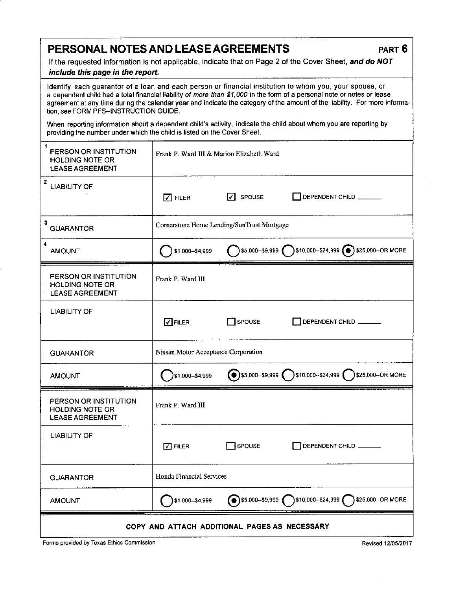# PERSONAL NOTES AND LEASE AGREEMENTS PART 6

If the requested information is not applicable, indicate that on Page 2 of the Cover Sheet, and do NOT

#### include this page in the report.

Identify each guarantor of a loan and each person or financial institution to whom you, your spouse, or a dependent child had a total financial liability of more than \$1,000 in the form of a personal note or notes or lease agreement at any time during the calendar year and indicate the category of the amount of the liability. For more information, see FORM PFS~INSTRUCTION GUIDE.

When reporting information about a dependent child's activity, indicate the child about whom you are reporting by providing the number under which the child is listed on the Cover Sheet.

| 1<br>PERSON OR INSTITUTION<br><b>HOLDING NOTE OR</b><br><b>LEASE AGREEMENT</b> | Frank P. Ward III & Marion Elizabeth Ward |                                            |                                                                                     |
|--------------------------------------------------------------------------------|-------------------------------------------|--------------------------------------------|-------------------------------------------------------------------------------------|
| $\overline{\mathbf{2}}$<br><b>LIABILITY OF</b>                                 | $\nabla$ FILER                            | $\sqrt{ }$ SPOUSE                          | DEPENDENT CHILD                                                                     |
| 3<br><b>GUARANTOR</b>                                                          |                                           | Cornerstone Home Lending/SunTrust Mortgage |                                                                                     |
| $\overline{\mathbf{4}}$<br><b>AMOUNT</b>                                       | \$1,000-\$4,999                           |                                            | $\bigcirc$ \$5,000-\$9,999 $\bigcirc$ \$10,000-\$24,999 $\bigcirc$ \$25,000-OR MORE |
| PERSON OR INSTITUTION<br><b>HOLDING NOTE OR</b><br><b>LEASE AGREEMENT</b>      | Frank P. Ward III                         |                                            |                                                                                     |
| <b>LIABILITY OF</b>                                                            | $\Box$ FILER                              | SPOUSE                                     | DEPENDENT CHILD                                                                     |
| <b>GUARANTOR</b>                                                               | Nissan Motor Acceptance Corporation       |                                            |                                                                                     |
| <b>AMOUNT</b>                                                                  | 31,000--\$4,999                           |                                            | ● \$5,000-\$9,999 310,000-\$24,999 325,000-OR MORE                                  |
| PERSON OR INSTITUTION<br><b>HOLDING NOTE OR</b><br><b>LEASE AGREEMENT</b>      | Frank P. Ward III                         |                                            |                                                                                     |
| <b>LIABILITY OF</b>                                                            | $\sqrt{ }$ FILER                          | SPOUSE                                     | DEPENDENT CHILD                                                                     |
| <b>GUARANTOR</b>                                                               | Honda Financial Services                  |                                            |                                                                                     |
| <b>AMOUNT</b>                                                                  | $\bigcap$ \$1,000--\$4,999                |                                            | <b>●</b> \$5,000--\$9,999 ● \$10,000--\$24,999 ● \$25,000-OR MORE                   |
| COPY AND ATTACH ADDITIONAL PAGES AS NECESSARY                                  |                                           |                                            |                                                                                     |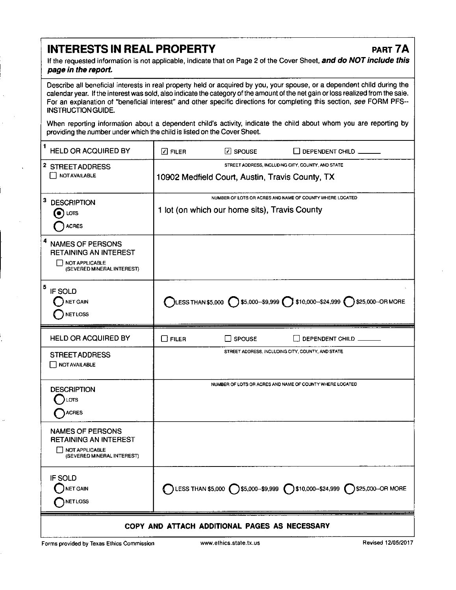# INTERESTS IN REAL PROPERTY PART 7A

If the requested information is not applicable, indicate that on Page 2 of the Cover Sheet, and do NOT include this page in the report.

Describe all beneficial interests in real property held or acquired by you, your spouse, or a dependent child during the calendar year. If the interest was sold, also indicate the category of the amount of the net gain or loss realized from the sale. For an explanation of "beneficial interest" and other specific directions for completing this section, see FORM PFS-INSTRUCTION GUIDE.

When reporting information about a dependent child's activity, indicate the child about whom you are reporting by providing the number under which the child is listed on the Cover Sheet.

| 1<br>HELD OR ACQUIRED BY                                                                                     | $\boxdot$ FILER                                                                                           | $\Box$ SPOUSE | $\Box$ DEPENDENT CHILD                                                                                   |
|--------------------------------------------------------------------------------------------------------------|-----------------------------------------------------------------------------------------------------------|---------------|----------------------------------------------------------------------------------------------------------|
| <sup>2</sup> STREET ADDRESS<br><b>NOT AVAILABLE</b>                                                          | STREET ADDRESS, INCLUDING CITY, COUNTY, AND STATE<br>10902 Medfield Court, Austin, Travis County, TX      |               |                                                                                                          |
| $\mathbf{3}$<br><b>DESCRIPTION</b><br>LOTS<br>O<br><b>ACRES</b>                                              | NUMBER OF LOTS OR ACRES AND NAME OF COUNTY WHERE LOCATED<br>1 lot (on which our home sits), Travis County |               |                                                                                                          |
| 4<br><b>NAMES OF PERSONS</b><br><b>RETAINING AN INTEREST</b><br>NOT APPLICABLE<br>(SEVERED MINERAL INTEREST) |                                                                                                           |               |                                                                                                          |
| 5<br>IF SOLD<br><b>NET GAIN</b><br><b>NET LOSS</b>                                                           |                                                                                                           |               | LESS THAN \$5,000 $\bigcirc$ \$5,000--\$9,999 $\bigcirc$ \$10,000--\$24,999 $\bigcirc$ \$25,000--OR MORE |
| HELD OR ACQUIRED BY                                                                                          | $\square$ FILER                                                                                           | <b>SPOUSE</b> | DEPENDENT CHILD                                                                                          |
| <b>STREET ADDRESS</b><br>NOT AVAILABLE                                                                       |                                                                                                           |               | STREET ADDRESS, INCLUDING CITY, COUNTY, AND STATE                                                        |
| <b>DESCRIPTION</b><br>LOTS<br>ACRES                                                                          | NUMBER OF LOTS OR ACRES AND NAME OF COUNTY WHERE LOCATED                                                  |               |                                                                                                          |
| NAMES OF PERSONS<br><b>RETAINING AN INTEREST</b><br>NOT APPLICABLE<br>(SEVERED MINERAL INTEREST)             |                                                                                                           |               |                                                                                                          |
| IF SOLD<br>NET GAIN<br>NETLOSS                                                                               |                                                                                                           |               | ◯ LESS THAN \$5,000 ◯ \$5,000-\$9,999 ◯ \$10,000-\$24,999 ◯ \$25,000-OR MORE                             |
|                                                                                                              |                                                                                                           |               |                                                                                                          |

Forms provided by Texas Ethics Commission www.ethics.state.tx.us Revised 12/05/2017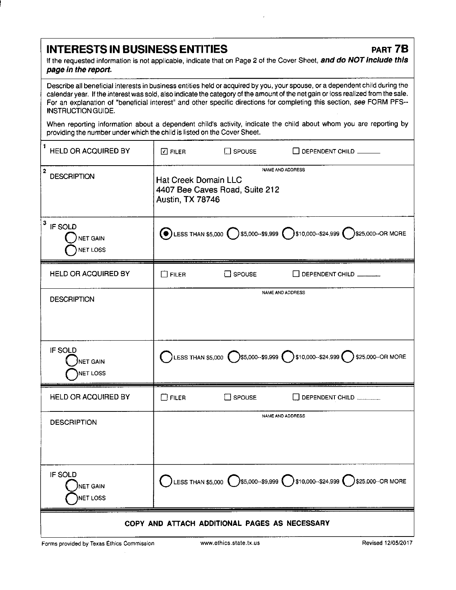## INTERESTS IN BUSINESS ENTITIES FART 7B

If the requested information is not applicable, indicate that on Page 2 of the Cover Sheet, and do NOT include this page in the report.

Describe all beneficial interests in business entities held or acquired by you, your spouse, or a dependent child during the calendar year. If the interest was sold, also indicate the category of the amount of the net gain or loss realized from the sale. For an explanation of "beneficial interest" and other specific directions for completing this section, see FORM PFS-INSTRUCTION GUIDE.

When reporting information about a dependent child's activity, indicate the child about whom you are reporting by providing the number under which the child is listed on the Cover Sheet.

| 1<br>HELD OR ACQUIRED BY                           | $\Box$ Filer                                                                                                 | $\Box$ SPOUSE    | $\Box$ DEPENDENT CHILD $\_\_\_\_\_\_\_\_\_\$                                                                     |
|----------------------------------------------------|--------------------------------------------------------------------------------------------------------------|------------------|------------------------------------------------------------------------------------------------------------------|
| $\overline{2}$<br><b>DESCRIPTION</b>               | NAME AND ADDRESS<br><b>Hat Creek Domain LLC</b><br>4407 Bee Caves Road, Suite 212<br><b>Austin, TX 78746</b> |                  |                                                                                                                  |
| 3<br>IF SOLD<br><b>NET GAIN</b><br><b>NET LOSS</b> |                                                                                                              |                  | $\bigodot$ LESS THAN \$5,000 $\bigcirc$ \$5,000-\$9,999 $\bigcirc$ \$10,000-\$24,999 $\bigcirc$ \$25,000-OR MORE |
| <b>HELD OR ACQUIRED BY</b>                         | $\square$ Filer                                                                                              | $\square$ SPOUSE | $\Box$ DEPENDENT CHILD $\_\_\_\_\_\_\_\_\_\$                                                                     |
| <b>DESCRIPTION</b>                                 |                                                                                                              |                  | NAME AND ADDRESS                                                                                                 |
| IF SOLD<br>NET GAIN<br>NET LOSS                    |                                                                                                              |                  | LESS THAN \$5,000 $\bigcirc$ \$5,000-\$9,999 $\bigcirc$ \$10,000-\$24,999 $\bigcirc$ \$25,000-OR MORE            |
| HELD OR ACQUIRED BY                                | $\square$ FILER                                                                                              | $\Box$ SPOUSE    | DEPENDENT CHILD                                                                                                  |
| <b>DESCRIPTION</b>                                 |                                                                                                              |                  | NAME AND ADDRESS                                                                                                 |
| IF SOLD<br>NET GAIN<br>NET LOSS                    |                                                                                                              |                  | LESS THAN \$5,000 $\bigcirc$ \$5,000--\$9,999 $\bigcirc$ \$10,000--\$24,999 $\bigcirc$ \$25,000--OR MORE         |
| COPY AND ATTACH ADDITIONAL PAGES AS NECESSARY      |                                                                                                              |                  |                                                                                                                  |